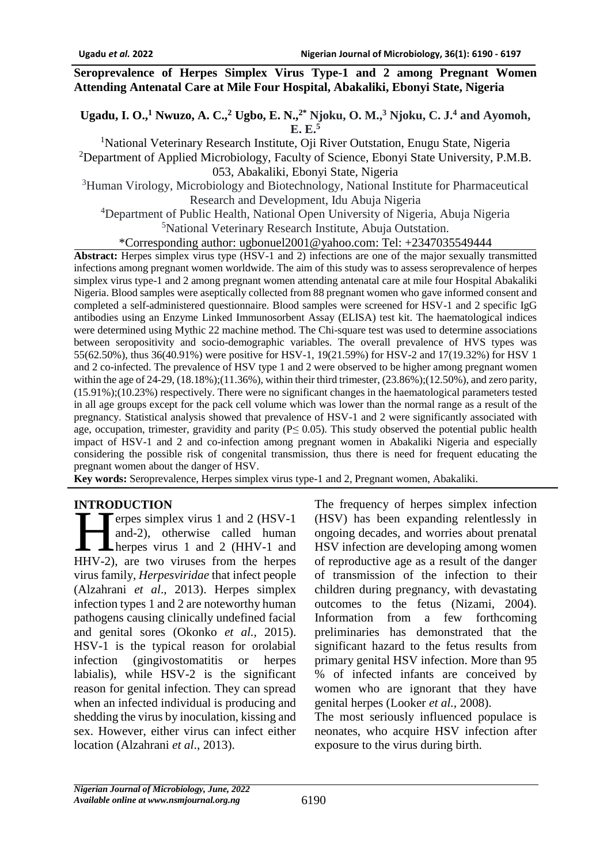#### **Seroprevalence of Herpes Simplex Virus Type-1 and 2 among Pregnant Women Attending Antenatal Care at Mile Four Hospital, Abakaliki, Ebonyi State, Nigeria**

**Ugadu, I. O., <sup>1</sup> Nwuzo, A. C.,<sup>2</sup> Ugbo, E. N.,2\* Njoku, O. M., <sup>3</sup> Njoku, C. J. <sup>4</sup> and Ayomoh, E. E. 5**

<sup>1</sup>National Veterinary Research Institute, Oji River Outstation, Enugu State, Nigeria <sup>2</sup>Department of Applied Microbiology, Faculty of Science, Ebonyi State University, P.M.B. 053, Abakaliki, Ebonyi State, Nigeria

<sup>3</sup>Human Virology, Microbiology and Biotechnology, National Institute for Pharmaceutical Research and Development, Idu Abuja Nigeria

<sup>4</sup>Department of Public Health, National Open University of Nigeria, Abuja Nigeria <sup>5</sup>National Veterinary Research Institute, Abuja Outstation.

\*Corresponding author: ugbonuel2001@yahoo.com: Tel: +2347035549444

**Abstract:** Herpes simplex virus type (HSV-1 and 2) infections are one of the major sexually transmitted infections among pregnant women worldwide. The aim of this study was to assess seroprevalence of herpes simplex virus type-1 and 2 among pregnant women attending antenatal care at mile four Hospital Abakaliki Nigeria. Blood samples were aseptically collected from 88 pregnant women who gave informed consent and completed a self-administered questionnaire. Blood samples were screened for HSV-1 and 2 specific IgG antibodies using an Enzyme Linked Immunosorbent Assay (ELISA) test kit. The haematological indices were determined using Mythic 22 machine method. The Chi-square test was used to determine associations between seropositivity and socio-demographic variables. The overall prevalence of HVS types was 55(62.50%), thus 36(40.91%) were positive for HSV-1, 19(21.59%) for HSV-2 and 17(19.32%) for HSV 1 and 2 co-infected. The prevalence of HSV type 1 and 2 were observed to be higher among pregnant women within the age of  $24-29$ ,  $(18.18\%)$ ; $(11.36\%)$ , within their third trimester,  $(23.86\%)$ ; $(12.50\%)$ , and zero parity, (15.91%);(10.23%) respectively. There were no significant changes in the haematological parameters tested in all age groups except for the pack cell volume which was lower than the normal range as a result of the pregnancy. Statistical analysis showed that prevalence of HSV-1 and 2 were significantly associated with age, occupation, trimester, gravidity and parity ( $P \le 0.05$ ). This study observed the potential public health impact of HSV-1 and 2 and co-infection among pregnant women in Abakaliki Nigeria and especially considering the possible risk of congenital transmission, thus there is need for frequent educating the pregnant women about the danger of HSV.

**Key words:** Seroprevalence, Herpes simplex virus type-1 and 2, Pregnant women, Abakaliki.

### **INTRODUCTION**

erpes simplex virus 1 and 2 (HSV-1 and-2), otherwise called human herpes virus 1 and 2 (HHV-1 and THRODUCTION<br>
erpes simplex virus 1 and 2 (HSV-1<br>
and-2), otherwise called human<br>
herpes virus 1 and 2 (HHV-1 and<br>
HHV-2), are two viruses from the herpes virus family, *Herpesviridae* that infect people (Alzahrani *et al*., 2013). Herpes simplex infection types 1 and 2 are noteworthy human pathogens causing clinically undefined facial and genital sores (Okonko *et al.,* 2015). HSV-1 is the typical reason for orolabial infection (gingivostomatitis or herpes labialis), while HSV-2 is the significant reason for genital infection. They can spread when an infected individual is producing and shedding the virus by inoculation, kissing and sex. However, either virus can infect either location (Alzahrani *et al*., 2013).

The frequency of herpes simplex infection (HSV) has been expanding relentlessly in ongoing decades, and worries about prenatal HSV infection are developing among women of reproductive age as a result of the danger of transmission of the infection to their children during pregnancy, with devastating outcomes to the fetus (Nizami, 2004). Information from a few forthcoming preliminaries has demonstrated that the significant hazard to the fetus results from primary genital HSV infection. More than 95 % of infected infants are conceived by women who are ignorant that they have genital herpes (Looker *et al.,* 2008).

The most seriously influenced populace is neonates, who acquire HSV infection after exposure to the virus during birth.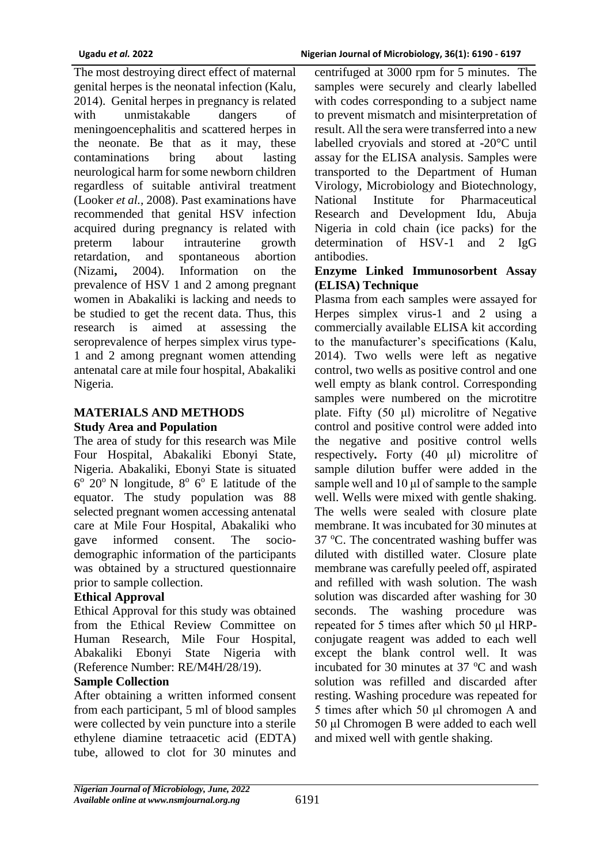The most destroying direct effect of maternal genital herpes is the neonatal infection (Kalu*,*  2014). Genital herpes in pregnancy is related with unmistakable dangers of meningoencephalitis and scattered herpes in the neonate. Be that as it may, these contaminations bring about lasting neurological harm for some newborn children regardless of suitable antiviral treatment (Looker *et al.,* 2008). Past examinations have recommended that genital HSV infection acquired during pregnancy is related with preterm labour intrauterine growth retardation, and spontaneous abortion (Nizami**,** 2004). Information on the prevalence of HSV 1 and 2 among pregnant women in Abakaliki is lacking and needs to be studied to get the recent data. Thus, this research is aimed at assessing the seroprevalence of herpes simplex virus type-1 and 2 among pregnant women attending antenatal care at mile four hospital, Abakaliki Nigeria.

### **MATERIALS AND METHODS Study Area and Population**

The area of study for this research was Mile Four Hospital, Abakaliki Ebonyi State, Nigeria. Abakaliki, Ebonyi State is situated  $6^{\circ}$  20 $^{\circ}$  N longitude,  $8^{\circ}$  6 $^{\circ}$  E latitude of the equator. The study population was 88 selected pregnant women accessing antenatal care at Mile Four Hospital, Abakaliki who gave informed consent. The sociodemographic information of the participants was obtained by a structured questionnaire prior to sample collection.

# **Ethical Approval**

Ethical Approval for this study was obtained from the Ethical Review Committee on Human Research, Mile Four Hospital, Abakaliki Ebonyi State Nigeria with (Reference Number: RE/M4H/28/19).

### **Sample Collection**

After obtaining a written informed consent from each participant, 5 ml of blood samples were collected by vein puncture into a sterile ethylene diamine tetraacetic acid (EDTA) tube, allowed to clot for 30 minutes and

centrifuged at 3000 rpm for 5 minutes. The samples were securely and clearly labelled with codes corresponding to a subject name to prevent mismatch and misinterpretation of result. All the sera were transferred into a new labelled cryovials and stored at -20°C until assay for the ELISA analysis. Samples were transported to the Department of Human Virology, Microbiology and Biotechnology, National Institute for Pharmaceutical Research and Development Idu, Abuja Nigeria in cold chain (ice packs) for the determination of HSV-1 and 2 IgG antibodies.

### **Enzyme Linked Immunosorbent Assay (ELISA) Technique**

Plasma from each samples were assayed for Herpes simplex virus-1 and 2 using a commercially available ELISA kit according to the manufacturer's specifications (Kalu, 2014). Two wells were left as negative control, two wells as positive control and one well empty as blank control. Corresponding samples were numbered on the microtitre plate. Fifty (50 μl) microlitre of Negative control and positive control were added into the negative and positive control wells respectively**.** Forty (40 μl) microlitre of sample dilution buffer were added in the sample well and 10 μl of sample to the sample well. Wells were mixed with gentle shaking. The wells were sealed with closure plate membrane. It was incubated for 30 minutes at 37 °C. The concentrated washing buffer was diluted with distilled water. Closure plate membrane was carefully peeled off, aspirated and refilled with wash solution. The wash solution was discarded after washing for 30 seconds. The washing procedure was repeated for 5 times after which 50 μl HRPconjugate reagent was added to each well except the blank control well. It was incubated for 30 minutes at  $37 \degree C$  and wash solution was refilled and discarded after resting. Washing procedure was repeated for 5 times after which 50 μl chromogen A and 50 μl Chromogen B were added to each well and mixed well with gentle shaking.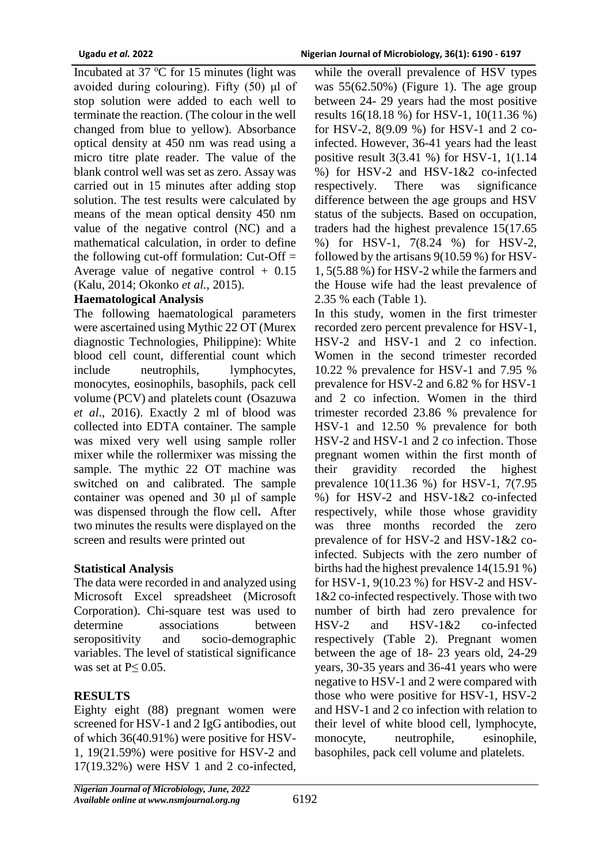Incubated at 37  $\degree$ C for 15 minutes (light was avoided during colouring). Fifty (50) μl of stop solution were added to each well to terminate the reaction. (The colour in the well changed from blue to yellow). Absorbance optical density at 450 nm was read using a micro titre plate reader. The value of the blank control well was set as zero. Assay was carried out in 15 minutes after adding stop solution. The test results were calculated by means of the mean optical density 450 nm value of the negative control (NC) and a mathematical calculation, in order to define the following cut-off formulation:  $Cut$ -Off  $=$ Average value of negative control  $+$  0.15 (Kalu, 2014; Okonko *et al.,* 2015).

### **Haematological Analysis**

The following haematological parameters were ascertained using Mythic 22 OT (Murex diagnostic Technologies, Philippine): White blood cell count, differential count which include neutrophils, lymphocytes, monocytes, eosinophils, basophils, pack cell volume (PCV) and platelets count (Osazuwa *et al*., 2016). Exactly 2 ml of blood was collected into EDTA container. The sample was mixed very well using sample roller mixer while the rollermixer was missing the sample. The mythic 22 OT machine was switched on and calibrated. The sample container was opened and 30 μl of sample was dispensed through the flow cell**.** After two minutes the results were displayed on the screen and results were printed out

# **Statistical Analysis**

The data were recorded in and analyzed using Microsoft Excel spreadsheet (Microsoft Corporation). Chi-square test was used to determine associations between seropositivity and socio-demographic variables. The level of statistical significance was set at  $P \leq 0.05$ .

# **RESULTS**

Eighty eight (88) pregnant women were screened for HSV-1 and 2 IgG antibodies, out of which 36(40.91%) were positive for HSV-1, 19(21.59%) were positive for HSV-2 and 17(19.32%) were HSV 1 and 2 co-infected,

while the overall prevalence of HSV types was 55(62.50%) (Figure 1). The age group between 24- 29 years had the most positive results 16(18.18 %) for HSV-1, 10(11.36 %) for HSV-2, 8(9.09 %) for HSV-1 and 2 coinfected. However, 36-41 years had the least positive result 3(3.41 %) for HSV-1, 1(1.14 %) for HSV-2 and HSV-1&2 co-infected respectively. There was significance difference between the age groups and HSV status of the subjects. Based on occupation, traders had the highest prevalence 15(17.65 %) for HSV-1, 7(8.24 %) for HSV-2, followed by the artisans 9(10.59 %) for HSV-1, 5(5.88 %) for HSV-2 while the farmers and the House wife had the least prevalence of 2.35 % each (Table 1).

In this study, women in the first trimester recorded zero percent prevalence for HSV-1, HSV-2 and HSV-1 and 2 co infection. Women in the second trimester recorded 10.22 % prevalence for HSV-1 and 7.95 % prevalence for HSV-2 and 6.82 % for HSV-1 and 2 co infection. Women in the third trimester recorded 23.86 % prevalence for HSV-1 and 12.50 % prevalence for both HSV-2 and HSV-1 and 2 co infection. Those pregnant women within the first month of their gravidity recorded the highest prevalence 10(11.36 %) for HSV-1, 7(7.95 %) for HSV-2 and HSV-1&2 co-infected respectively, while those whose gravidity was three months recorded the zero prevalence of for HSV-2 and HSV-1&2 coinfected. Subjects with the zero number of births had the highest prevalence 14(15.91 %) for HSV-1, 9(10.23 %) for HSV-2 and HSV-1&2 co-infected respectively. Those with two number of birth had zero prevalence for HSV-2 and HSV-1&2 co-infected respectively (Table 2). Pregnant women between the age of 18- 23 years old, 24-29 years, 30-35 years and 36-41 years who were negative to HSV-1 and 2 were compared with those who were positive for HSV-1, HSV-2 and HSV-1 and 2 co infection with relation to their level of white blood cell, lymphocyte, monocyte, neutrophile, esinophile, basophiles, pack cell volume and platelets.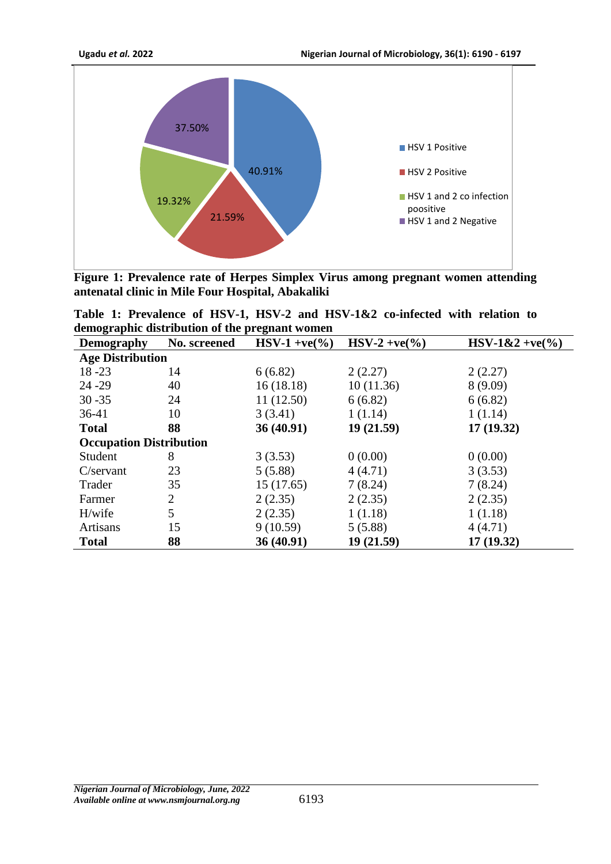

**Figure 1: Prevalence rate of Herpes Simplex Virus among pregnant women attending antenatal clinic in Mile Four Hospital, Abakaliki**

**Table 1: Prevalence of HSV-1, HSV-2 and HSV-1&2 co-infected with relation to demographic distribution of the pregnant women** 

| $\mathbf{\sigma}$<br><b>Demography</b> | No. screened   | $HSV-1 + ve(\frac{9}{6})$ | $HSV-2 + ve(\frac{9}{6})$ | $HSV-1&2+ve(\%')$ |  |  |  |
|----------------------------------------|----------------|---------------------------|---------------------------|-------------------|--|--|--|
| <b>Age Distribution</b>                |                |                           |                           |                   |  |  |  |
| $18 - 23$                              | 14             | 6(6.82)                   | 2(2.27)                   | 2(2.27)           |  |  |  |
| $24 - 29$                              | 40             | 16(18.18)                 | 10(11.36)                 | 8(9.09)           |  |  |  |
| $30 - 35$                              | 24             | 11(12.50)                 | 6(6.82)                   | 6(6.82)           |  |  |  |
| $36-41$                                | 10             | 3(3.41)                   | 1(1.14)                   | 1(1.14)           |  |  |  |
| <b>Total</b>                           | 88             | 36(40.91)                 | 19(21.59)                 | 17(19.32)         |  |  |  |
| <b>Occupation Distribution</b>         |                |                           |                           |                   |  |  |  |
| Student                                | 8              | 3(3.53)                   | 0(0.00)                   | 0(0.00)           |  |  |  |
| $C$ /servant                           | 23             | 5(5.88)                   | 4(4.71)                   | 3(3.53)           |  |  |  |
| Trader                                 | 35             | 15(17.65)                 | 7(8.24)                   | 7(8.24)           |  |  |  |
| Farmer                                 | $\overline{c}$ | 2(2.35)                   | 2(2.35)                   | 2(2.35)           |  |  |  |
| H/wife                                 | 5              | 2(2.35)                   | 1(1.18)                   | 1(1.18)           |  |  |  |
| <b>Artisans</b>                        | 15             | 9(10.59)                  | 5(5.88)                   | 4(4.71)           |  |  |  |
| <b>Total</b>                           | 88             | 36 (40.91)                | 19(21.59)                 | 17(19.32)         |  |  |  |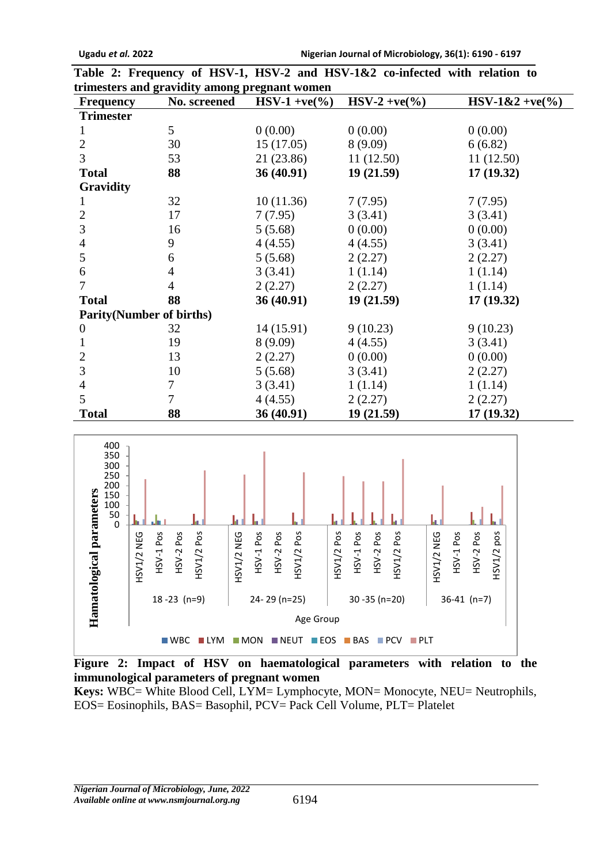| trimesters and gravidity among pregnant women |              |                  |                           |                   |  |  |
|-----------------------------------------------|--------------|------------------|---------------------------|-------------------|--|--|
| <b>Frequency</b>                              | No. screened | $HSV-1 + ve(\%)$ | $HSV-2 + ve(\frac{9}{6})$ | $HSV-1&2+ve(\%')$ |  |  |
| <b>Trimester</b>                              |              |                  |                           |                   |  |  |
|                                               | 5            | 0(0.00)          | 0(0.00)                   | 0(0.00)           |  |  |
| $\overline{2}$                                | 30           | 15(17.05)        | 8(9.09)                   | 6(6.82)           |  |  |
| 3                                             | 53           | 21 (23.86)       | 11(12.50)                 | 11(12.50)         |  |  |
| <b>Total</b>                                  | 88           | 36(40.91)        | 19(21.59)                 | 17(19.32)         |  |  |
| Gravidity                                     |              |                  |                           |                   |  |  |
| 1                                             | 32           | 10(11.36)        | 7(7.95)                   | 7(7.95)           |  |  |
| 2                                             | 17           | 7(7.95)          | 3(3.41)                   | 3(3.41)           |  |  |
| 3                                             | 16           | 5(5.68)          | 0(0.00)                   | 0(0.00)           |  |  |
| 4                                             | 9            | 4(4.55)          | 4(4.55)                   | 3(3.41)           |  |  |
| 5                                             | 6            | 5(5.68)          | 2(2.27)                   | 2(2.27)           |  |  |
| 6                                             | 4            | 3(3.41)          | 1(1.14)                   | 1(1.14)           |  |  |
| 7                                             | 4            | 2(2.27)          | 2(2.27)                   | 1(1.14)           |  |  |
| <b>Total</b>                                  | 88           | 36(40.91)        | 19(21.59)                 | 17(19.32)         |  |  |
| <b>Parity</b> (Number of births)              |              |                  |                           |                   |  |  |
| $\boldsymbol{0}$                              | 32           | 14(15.91)        | 9(10.23)                  | 9(10.23)          |  |  |
| 1                                             | 19           | 8(9.09)          | 4(4.55)                   | 3(3.41)           |  |  |
| 2                                             | 13           | 2(2.27)          | 0(0.00)                   | 0(0.00)           |  |  |
| 3                                             | 10           | 5(5.68)          | 3(3.41)                   | 2(2.27)           |  |  |
| 4                                             | 7            | 3(3.41)          | 1(1.14)                   | 1(1.14)           |  |  |
| 5                                             | $\tau$       | 4(4.55)          | 2(2.27)                   | 2(2.27)           |  |  |
| <b>Total</b>                                  | 88           | 36 (40.91)       | 19(21.59)                 | 17(19.32)         |  |  |





**Figure 2: Impact of HSV on haematological parameters with relation to the immunological parameters of pregnant women**

**Keys:** WBC= White Blood Cell, LYM= Lymphocyte, MON= Monocyte, NEU= Neutrophils, EOS= Eosinophils, BAS= Basophil, PCV= Pack Cell Volume, PLT= Platelet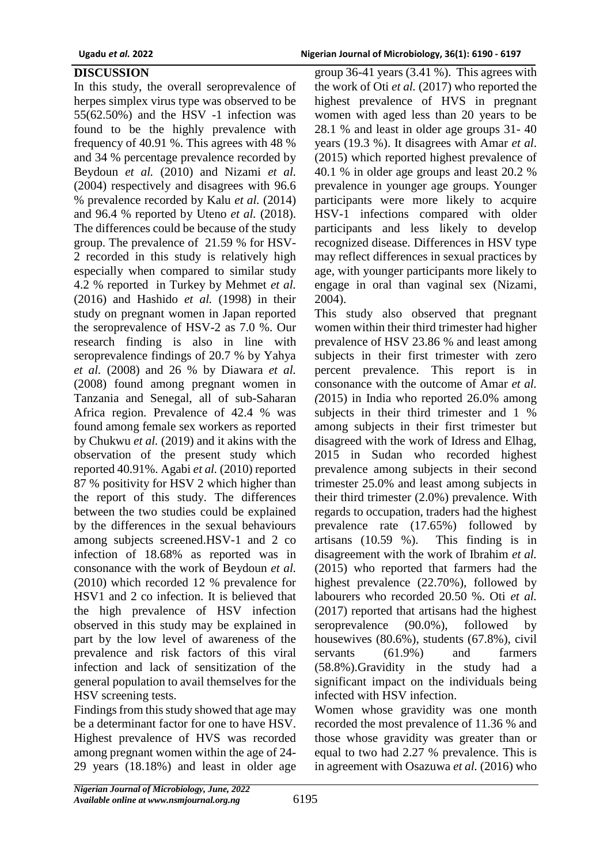### **DISCUSSION**

In this study, the overall seroprevalence of herpes simplex virus type was observed to be 55(62.50%) and the HSV -1 infection was found to be the highly prevalence with frequency of 40.91 %. This agrees with 48 % and 34 % percentage prevalence recorded by Beydoun *et al.* (2010) and Nizami *et al.* (2004) respectively and disagrees with 96.6 % prevalence recorded by Kalu *et al.* (2014) and 96.4 % reported by Uteno *et al.* (2018). The differences could be because of the study group. The prevalence of 21.59 % for HSV-2 recorded in this study is relatively high especially when compared to similar study 4.2 % reported in Turkey by Mehmet *et al.* (2016) and Hashido *et al.* (1998) in their study on pregnant women in Japan reported the seroprevalence of HSV-2 as 7.0 %. Our research finding is also in line with seroprevalence findings of 20.7 % by Yahya *et al.* (2008) and 26 % by Diawara *et al.*  (2008) found among pregnant women in Tanzania and Senegal, all of sub-Saharan Africa region. Prevalence of 42.4 % was found among female sex workers as reported by Chukwu *et al.* (2019) and it akins with the observation of the present study which reported 40.91%. Agabi *et al.* (2010) reported 87 % positivity for HSV 2 which higher than the report of this study. The differences between the two studies could be explained by the differences in the sexual behaviours among subjects screened.HSV-1 and 2 co infection of 18.68% as reported was in consonance with the work of Beydoun *et al.*  (2010) which recorded 12 % prevalence for HSV1 and 2 co infection. It is believed that the high prevalence of HSV infection observed in this study may be explained in part by the low level of awareness of the prevalence and risk factors of this viral infection and lack of sensitization of the general population to avail themselves for the HSV screening tests.

Findings from this study showed that age may be a determinant factor for one to have HSV. Highest prevalence of HVS was recorded among pregnant women within the age of 24- 29 years (18.18%) and least in older age

group 36-41 years (3.41 %). This agrees with the work of Oti *et al.* (2017) who reported the highest prevalence of HVS in pregnant women with aged less than 20 years to be 28.1 % and least in older age groups 31- 40 years (19.3 %). It disagrees with Amar *et al*. (2015) which reported highest prevalence of 40.1 % in older age groups and least 20.2 % prevalence in younger age groups. Younger participants were more likely to acquire HSV-1 infections compared with older participants and less likely to develop recognized disease. Differences in HSV type may reflect differences in sexual practices by age, with younger participants more likely to engage in oral than vaginal sex (Nizami*,*  2004).

This study also observed that pregnant women within their third trimester had higher prevalence of HSV 23.86 % and least among subjects in their first trimester with zero percent prevalence. This report is in consonance with the outcome of Amar *et al. (*2015) in India who reported 26.0% among subjects in their third trimester and 1 % among subjects in their first trimester but disagreed with the work of Idress and Elhag, 2015 in Sudan who recorded highest prevalence among subjects in their second trimester 25.0% and least among subjects in their third trimester (2.0%) prevalence. With regards to occupation, traders had the highest prevalence rate (17.65%) followed by artisans (10.59 %). This finding is in disagreement with the work of Ibrahim *et al.*  (2015) who reported that farmers had the highest prevalence (22.70%), followed by labourers who recorded 20.50 %. Oti *et al.* (2017) reported that artisans had the highest seroprevalence (90.0%), followed by housewives (80.6%), students (67.8%), civil servants (61.9%) and farmers (58.8%).Gravidity in the study had a significant impact on the individuals being infected with HSV infection.

Women whose gravidity was one month recorded the most prevalence of 11.36 % and those whose gravidity was greater than or equal to two had 2.27 % prevalence. This is in agreement with Osazuwa *et al.* (2016) who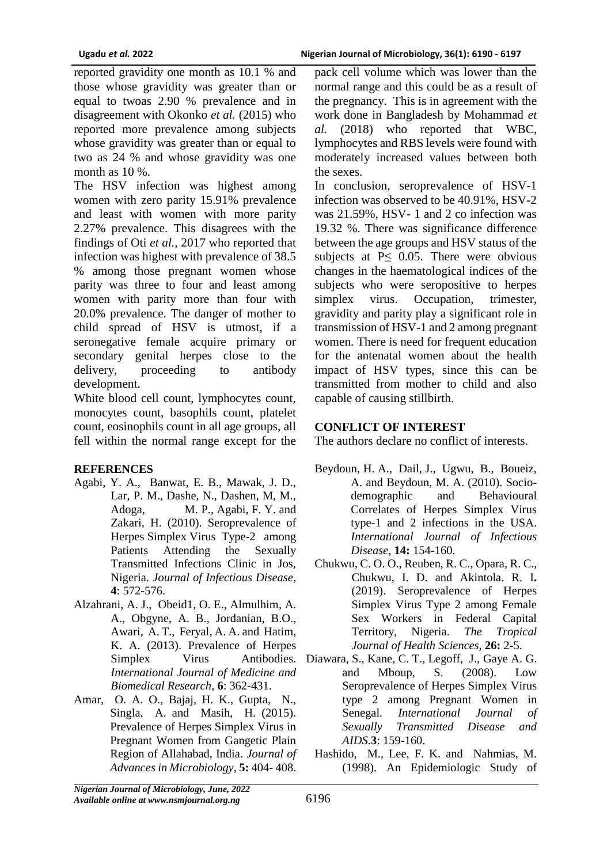reported gravidity one month as 10.1 % and those whose gravidity was greater than or equal to twoas 2.90 % prevalence and in disagreement with Okonko *et al.* (2015) who reported more prevalence among subjects whose gravidity was greater than or equal to two as 24 % and whose gravidity was one month as 10 %.

The HSV infection was highest among women with zero parity 15.91% prevalence and least with women with more parity 2.27% prevalence. This disagrees with the findings of Oti *et al.,* 2017 who reported that infection was highest with prevalence of 38.5 % among those pregnant women whose parity was three to four and least among women with parity more than four with 20.0% prevalence. The danger of mother to child spread of HSV is utmost, if a seronegative female acquire primary or secondary genital herpes close to the delivery, proceeding to antibody development.

White blood cell count, lymphocytes count, monocytes count, basophils count, platelet count, eosinophils count in all age groups, all fell within the normal range except for the

### **REFERENCES**

- Agabi, Y. A., Banwat, E. B., Mawak, J. D., Lar, P. M., Dashe, N., Dashen, M, M., Adoga, M. P., Agabi, F. Y. and Zakari, H. (2010). Seroprevalence of Herpes Simplex Virus Type-2 among Patients Attending the Sexually Transmitted Infections Clinic in Jos, Nigeria. *Journal of Infectious Disease*, **4**: 572-576.
- Alzahrani, A. J., Obeid1, O. E., Almulhim, A. A., Obgyne, A. B., Jordanian, B.O., Awari, A. T., Feryal, A. A. and Hatim, K. A. (2013). Prevalence of Herpes *International Journal of Medicine and Biomedical Research*, **6**: 362-431.
- Amar, O. A. O., Bajaj, H. K., Gupta, N., Singla, A. and Masih, H. (2015). Prevalence of Herpes Simplex Virus in Pregnant Women from Gangetic Plain Region of Allahabad, India. *Journal of Advances in Microbiology*, **5:** 404- 408.

pack cell volume which was lower than the normal range and this could be as a result of the pregnancy. This is in agreement with the work done in Bangladesh by Mohammad *et al.* (2018) who reported that WBC, lymphocytes and RBS levels were found with moderately increased values between both the sexes.

In conclusion, seroprevalence of HSV-1 infection was observed to be 40.91%, HSV-2 was 21.59%, HSV- 1 and 2 co infection was 19.32 %. There was significance difference between the age groups and HSV status of the subjects at  $P \leq 0.05$ . There were obvious changes in the haematological indices of the subjects who were seropositive to herpes simplex virus. Occupation, trimester, gravidity and parity play a significant role in transmission of HSV-1 and 2 among pregnant women. There is need for frequent education for the antenatal women about the health impact of HSV types, since this can be transmitted from mother to child and also capable of causing stillbirth.

### **CONFLICT OF INTEREST**

The authors declare no conflict of interests.

- Beydoun, H. A., Dail, J., Ugwu, B., Boueiz, A. and Beydoun, M. A. (2010). Sociodemographic and Behavioural Correlates of Herpes Simplex Virus type-1 and 2 infections in the USA. *International Journal of Infectious Disease*, **14:** 154-160.
- Chukwu, C. O. O., Reuben, R. C., Opara, R. C., Chukwu, I. D. and Akintola. R. I**.**  (2019). Seroprevalence of Herpes Simplex Virus Type 2 among Female Sex Workers in Federal Capital Territory, Nigeria. *The Tropical Journal of Health Sciences,* **26:** 2-5.
- Simplex Virus Antibodies. Diawara, S., Kane, C. T., Legoff, J., Gaye A. G. and Mboup, S. (2008). Low Seroprevalence of Herpes Simplex Virus type 2 among Pregnant Women in Senegal*. International Journal of Sexually Transmitted Disease and AIDS*.**3**: 159-160.
	- Hashido, M., Lee, F. K. and Nahmias, M. (1998). An Epidemiologic Study of